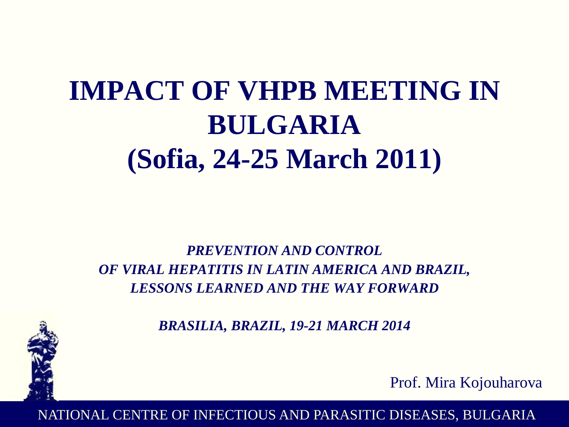# **IMPACT OF VHPB MEETING IN BULGARIA (Sofia, 24-25 March 2011)**

*PREVENTION AND CONTROL OF VIRAL HEPATITIS IN LATIN AMERICA AND BRAZIL, LESSONS LEARNED AND THE WAY FORWARD*



*BRASILIA, BRAZIL, 19-21 MARCH 2014*

Prof. Mira Kojouharova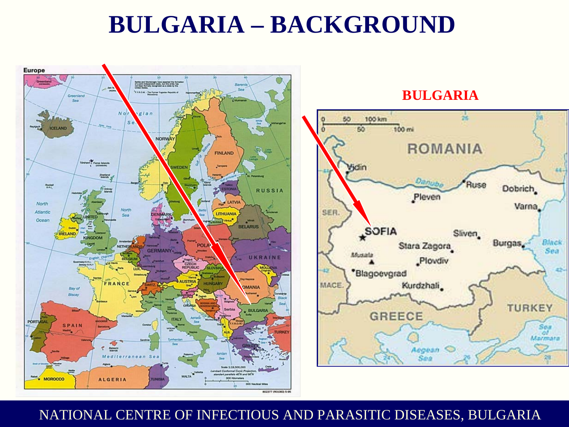### **BULGARIA – BACKGROUND**



#### **BULGARIA**

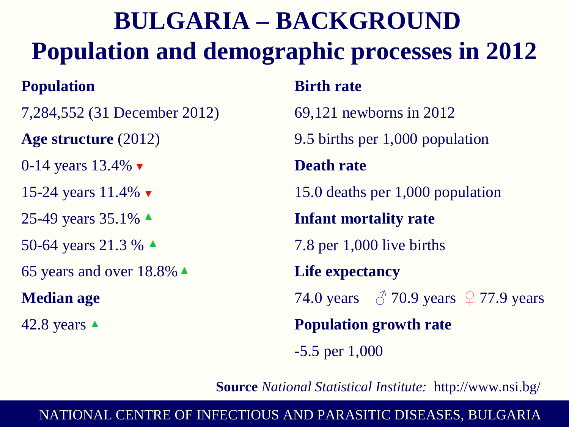# **BULGARIA – BACKGROUND Population and demographic processes in 2012**

### **Population**

7,284,552 (31 December 2012)

**Age structure** (2012)

0-14 years  $13.4\%$ 

15-24 years 11.4%  $\blacktriangledown$ 

25-49 years  $35.1\%$   $\triangle$ 

50-64 years 21.3 %  $\triangle$ 

65 years and over  $18.8\%$   $\triangle$ 

#### **Median age**

42.8 years  $\triangle$ 

### **Birth rate**

69,121 newborns in 2012

9.5 births per 1,000 population

#### **Death rate**

15.0 deaths per 1,000 population

**Infant mortality rate**

7.8 per 1,000 live births

**Life expectancy**

74.0 years  $\beta$  70.9 years  $\sqrt{ }$  77.9 years

**Population growth rate**

-5.5 per 1,000

**Source** *National Statistical Institute:* http://www.nsi.bg/

#### NATIONAL NATIONAL CENTRE OF INFECTIOUS AND PARASITIC DISEASES, BULGARIA CENTRE OF INFECTIOUS AND PARASITIC DISEASES, BULGARIA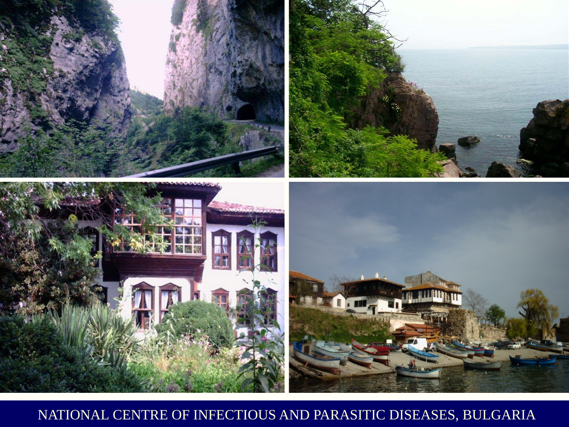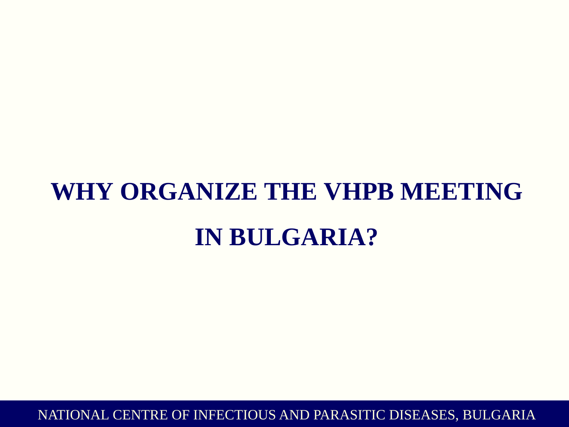# **WHY ORGANIZE THE VHPB MEETING IN BULGARIA?**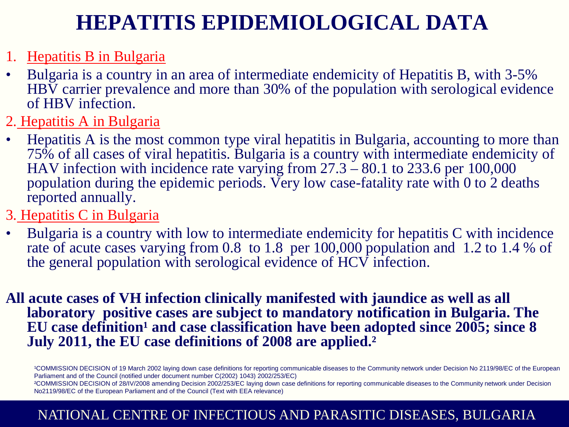### **HEPATITIS EPIDEMIOLOGICAL DATA**

- 1. Hepatitis B in Bulgaria
- Bulgaria is a country in an area of intermediate endemicity of Hepatitis B, with 3-5% HBV carrier prevalence and more than 30% of the population with serological evidence of HBV infection.
- 2. Hepatitis A in Bulgaria
- Hepatitis A is the most common type viral hepatitis in Bulgaria, accounting to more than 75% of all cases of viral hepatitis. Bulgaria is a country with intermediate endemicity of HAV infection with incidence rate varying from  $27.3 - 80.1$  to 233.6 per 100,000 population during the epidemic periods. Very low case-fatality rate with 0 to 2 deaths reported annually.
- 3. Hepatitis C in Bulgaria
- Bulgaria is a country with low to intermediate endemicity for hepatitis C with incidence rate of acute cases varying from 0.8 to 1.8 per 100,000 population and 1.2 to 1.4 % of the general population with serological evidence of HCV infection.
- **All acute cases of VH infection clinically manifested with jaundice as well as all laboratory positive cases are subject to mandatory notification in Bulgaria. The**  EU case definition<sup>1</sup> and case classification have been adopted since 2005; since 8 **July 2011, the EU case definitions of 2008 are applied.²**

<sup>1</sup>COMMISSION DECISION of 19 March 2002 laying down case definitions for reporting communicable diseases to the Community network under Decision No 2119/98/EC of the European Parliament and of the Council (notified under document number C(2002) 1043) 2002/253/EC)

²COMMISSION DECISION of 28/IV/2008 amending Decision 2002/253/EC laying down case definitions for reporting communicable diseases to the Community network under Decision No2119/98/EC of the European Parliament and of the Council (Text with EEA relevance)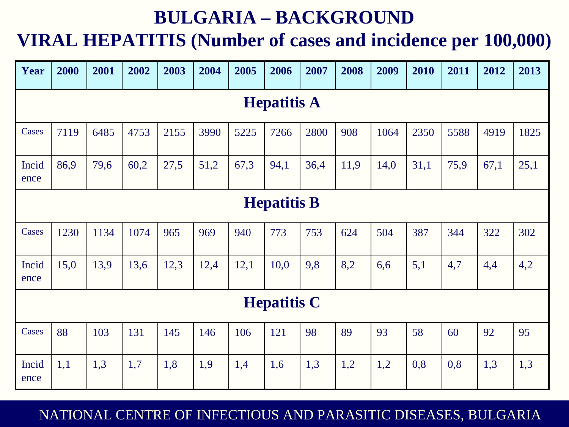### **BULGARIA – BACKGROUND**

### **VIRAL HEPATITIS (Number of cases and incidence per 100,000)**

| Year               | 2000 | 2001 | 2002 | 2003 | 2004 | 2005 | 2006 | 2007 | 2008 | 2009 | 2010 | 2011 | 2012 | 2013 |
|--------------------|------|------|------|------|------|------|------|------|------|------|------|------|------|------|
| <b>Hepatitis A</b> |      |      |      |      |      |      |      |      |      |      |      |      |      |      |
| Cases              | 7119 | 6485 | 4753 | 2155 | 3990 | 5225 | 7266 | 2800 | 908  | 1064 | 2350 | 5588 | 4919 | 1825 |
| Incid<br>ence      | 86,9 | 79,6 | 60,2 | 27,5 | 51,2 | 67,3 | 94,1 | 36,4 | 11,9 | 14,0 | 31,1 | 75,9 | 67,1 | 25,1 |
| <b>Hepatitis B</b> |      |      |      |      |      |      |      |      |      |      |      |      |      |      |
| Cases              | 1230 | 1134 | 1074 | 965  | 969  | 940  | 773  | 753  | 624  | 504  | 387  | 344  | 322  | 302  |
| Incid<br>ence      | 15,0 | 13,9 | 13,6 | 12,3 | 12,4 | 12,1 | 10,0 | 9,8  | 8,2  | 6,6  | 5,1  | 4,7  | 4,4  | 4,2  |
| <b>Hepatitis C</b> |      |      |      |      |      |      |      |      |      |      |      |      |      |      |
| Cases              | 88   | 103  | 131  | 145  | 146  | 106  | 121  | 98   | 89   | 93   | 58   | 60   | 92   | 95   |
| Incid<br>ence      | 1,1  | 1,3  | 1,7  | 1,8  | 1,9  | 1,4  | 1,6  | 1,3  | 1,2  | 1,2  | 0,8  | 0,8  | 1,3  | 1,3  |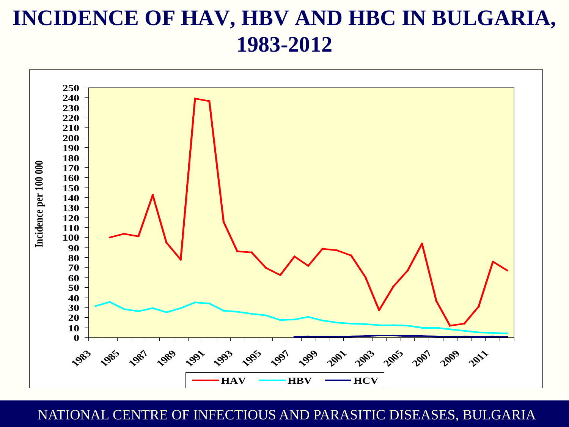### **INCIDENCE OF HAV, HBV AND HBC IN BULGARIA, 1983-2012**

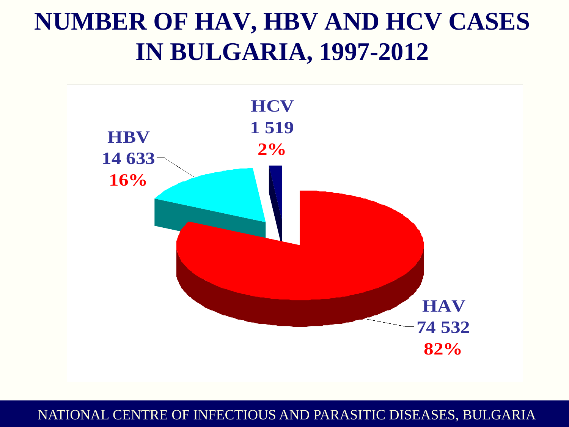## **NUMBER OF HAV, HBV AND HCV CASES IN BULGARIA, 1997-2012**

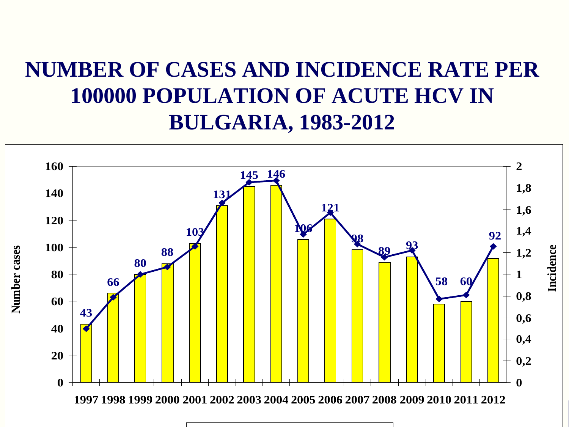### **NUMBER OF CASES AND INCIDENCE RATE PER 100000 POPULATION OF ACUTE HCV IN BULGARIA, 1983-2012**

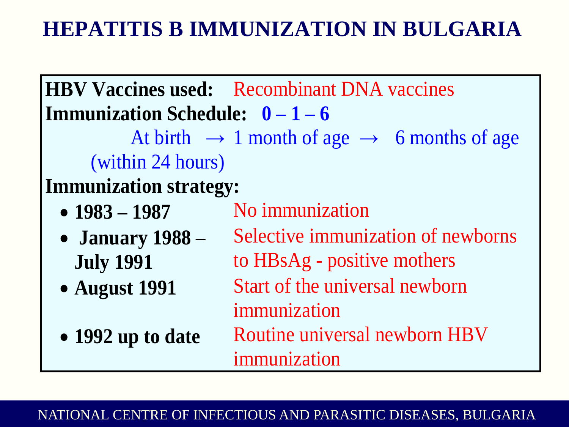### **HEPATITIS B IMMUNIZATION IN BULGARIA**

|                                       | <b>HBV Vaccines used:</b> Recombinant DNA vaccines                  |  |  |  |  |
|---------------------------------------|---------------------------------------------------------------------|--|--|--|--|
| <b>Immunization Schedule:</b> $0-1-6$ |                                                                     |  |  |  |  |
|                                       | At birth $\rightarrow$ 1 month of age $\rightarrow$ 6 months of age |  |  |  |  |
| (within 24 hours)                     |                                                                     |  |  |  |  |
| <b>Immunization strategy:</b>         |                                                                     |  |  |  |  |
| • $1983 - 1987$                       | No immunization                                                     |  |  |  |  |
| • January $1988 -$                    | Selective immunization of newborns                                  |  |  |  |  |
| <b>July 1991</b>                      | to HBsAg - positive mothers                                         |  |  |  |  |
| • August 1991                         | Start of the universal newborn                                      |  |  |  |  |
|                                       | immunization                                                        |  |  |  |  |
| • 1992 up to date                     | Routine universal newborn HBV                                       |  |  |  |  |
|                                       | immunization                                                        |  |  |  |  |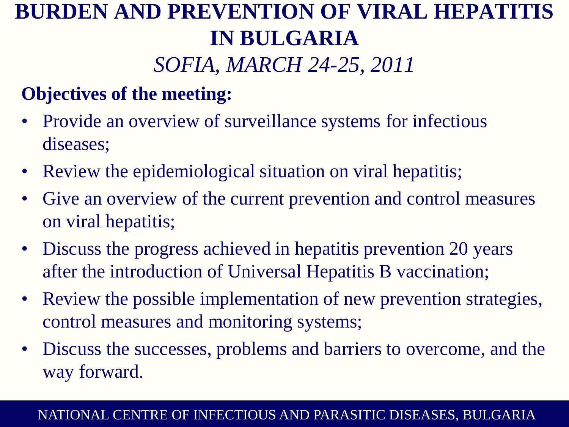### **BURDEN AND PREVENTION OF VIRAL HEPATITIS IN BULGARIA**  *SOFIA, MARCH 24-25, 2011*

### **Objectives of the meeting:**

- Provide an overview of surveillance systems for infectious diseases;
- Review the epidemiological situation on viral hepatitis;
- Give an overview of the current prevention and control measures on viral hepatitis;
- Discuss the progress achieved in hepatitis prevention 20 years after the introduction of Universal Hepatitis B vaccination;
- Review the possible implementation of new prevention strategies, control measures and monitoring systems;
- Discuss the successes, problems and barriers to overcome, and the way forward.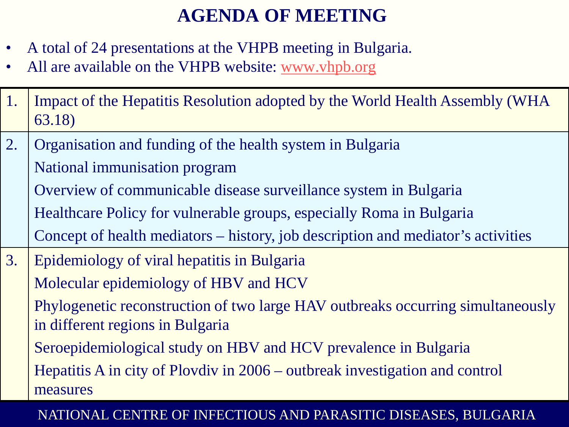### **AGENDA OF MEETING**

- A total of 24 presentations at the VHPB meeting in Bulgaria.
- All are available on the VHPB website: [www.vhpb.org](http://www.vhpb.org/)
- 1. Impact of the Hepatitis Resolution adopted by the World Health Assembly (WHA 63.18)
- 2. Organisation and funding of the health system in Bulgaria National immunisation program Overview of communicable disease surveillance system in Bulgaria Healthcare Policy for vulnerable groups, especially Roma in Bulgaria Concept of health mediators – history, job description and mediator's activities
- 3. Epidemiology of viral hepatitis in Bulgaria Molecular epidemiology of HBV and HCV Phylogenetic reconstruction of two large HAV outbreaks occurring simultaneously in different regions in Bulgaria Seroepidemiological study on HBV and HCV prevalence in Bulgaria Hepatitis A in city of Plovdiv in 2006 – outbreak investigation and control measures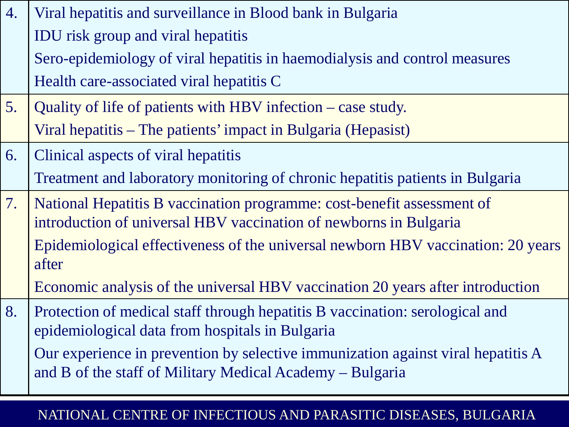| 4. | Viral hepatitis and surveillance in Blood bank in Bulgaria                                                                                    |
|----|-----------------------------------------------------------------------------------------------------------------------------------------------|
|    | <b>IDU</b> risk group and viral hepatitis                                                                                                     |
|    | Sero-epidemiology of viral hepatitis in haemodialysis and control measures                                                                    |
|    | Health care-associated viral hepatitis C                                                                                                      |
| 5. | Quality of life of patients with HBV infection – case study.                                                                                  |
|    | Viral hepatitis – The patients' impact in Bulgaria (Hepasist)                                                                                 |
| 6. | Clinical aspects of viral hepatitis                                                                                                           |
|    | Treatment and laboratory monitoring of chronic hepatitis patients in Bulgaria                                                                 |
| 7. | National Hepatitis B vaccination programme: cost-benefit assessment of                                                                        |
|    | introduction of universal HBV vaccination of newborns in Bulgaria                                                                             |
|    | Epidemiological effectiveness of the universal newborn HBV vaccination: 20 years<br>after                                                     |
|    | Economic analysis of the universal HBV vaccination 20 years after introduction                                                                |
| 8. | Protection of medical staff through hepatitis B vaccination: serological and<br>epidemiological data from hospitals in Bulgaria               |
|    | Our experience in prevention by selective immunization against viral hepatitis A<br>and B of the staff of Military Medical Academy – Bulgaria |
|    |                                                                                                                                               |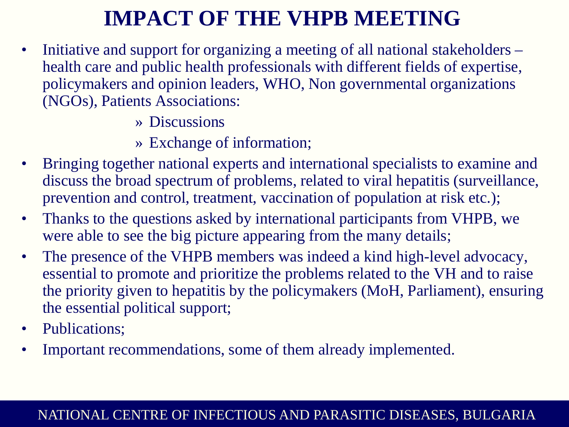### **IMPACT OF THE VHPB MEETING**

- Initiative and support for organizing a meeting of all national stakeholders health care and public health professionals with different fields of expertise, policymakers and opinion leaders, WHO, Non governmental organizations (NGOs), Patients Associations:
	- » Discussions
	- » Exchange of information;
- Bringing together national experts and international specialists to examine and discuss the broad spectrum of problems, related to viral hepatitis (surveillance, prevention and control, treatment, vaccination of population at risk etc.);
- Thanks to the questions asked by international participants from VHPB, we were able to see the big picture appearing from the many details;
- The presence of the VHPB members was indeed a kind high-level advocacy, essential to promote and prioritize the problems related to the VH and to raise the priority given to hepatitis by the policymakers (MoH, Parliament), ensuring the essential political support;
- Publications;
- Important recommendations, some of them already implemented.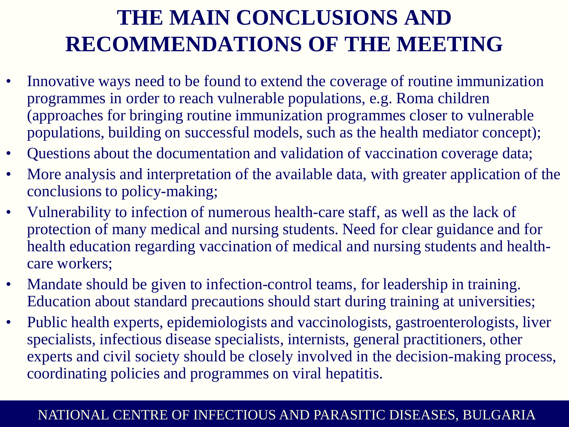### **THE MAIN CONCLUSIONS AND RECOMMENDATIONS OF THE MEETING**

- Innovative ways need to be found to extend the coverage of routine immunization programmes in order to reach vulnerable populations, e.g. Roma children (approaches for bringing routine immunization programmes closer to vulnerable populations, building on successful models, such as the health mediator concept);
- Questions about the documentation and validation of vaccination coverage data;
- More analysis and interpretation of the available data, with greater application of the conclusions to policy-making;
- Vulnerability to infection of numerous health-care staff, as well as the lack of protection of many medical and nursing students. Need for clear guidance and for health education regarding vaccination of medical and nursing students and healthcare workers;
- Mandate should be given to infection-control teams, for leadership in training. Education about standard precautions should start during training at universities;
- Public health experts, epidemiologists and vaccinologists, gastroenterologists, liver specialists, infectious disease specialists, internists, general practitioners, other experts and civil society should be closely involved in the decision-making process, coordinating policies and programmes on viral hepatitis.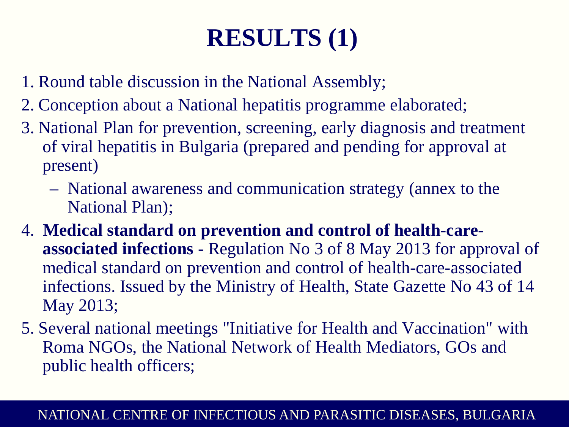# **RESULTS (1)**

- 1. Round table discussion in the National Assembly;
- 2. Conception about a National hepatitis programme elaborated;
- 3. National Plan for prevention, screening, early diagnosis and treatment of viral hepatitis in Bulgaria (prepared and pending for approval at present)
	- National awareness and communication strategy (annex to the National Plan);
- 4. **Medical standard on prevention and control of health-careassociated infections** - Regulation No 3 of 8 May 2013 for approval of medical standard on prevention and control of health-care-associated infections. Issued by the Ministry of Health, State Gazette No 43 of 14 May 2013;
- 5. Several national meetings "Initiative for Health and Vaccination" with Roma NGOs, the National Network of Health Mediators, GOs and public health officers;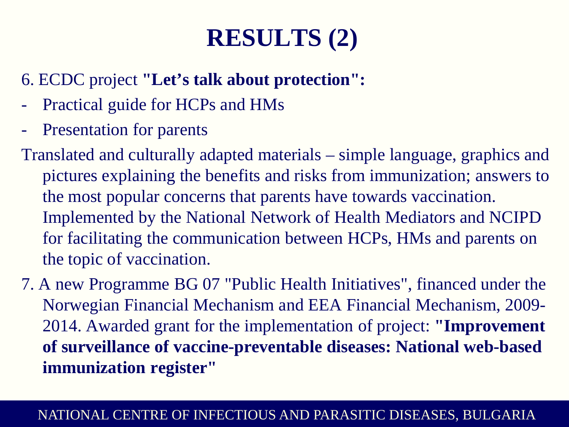## **RESULTS (2)**

- 6. ECDC project **"Let's talk about protection":**
- Practical guide for HCPs and HMs
- Presentation for parents
- Translated and culturally adapted materials simple language, graphics and pictures explaining the benefits and risks from immunization; answers to the most popular concerns that parents have towards vaccination. Implemented by the National Network of Health Mediators and NCIPD for facilitating the communication between HCPs, HMs and parents on the topic of vaccination.
- 7. A new Programme BG 07 "Public Health Initiatives", financed under the Norwegian Financial Mechanism and EEA Financial Mechanism, 2009- 2014. Awarded grant for the implementation of project: **"Improvement of surveillance of vaccine-preventable diseases: National web-based immunization register"**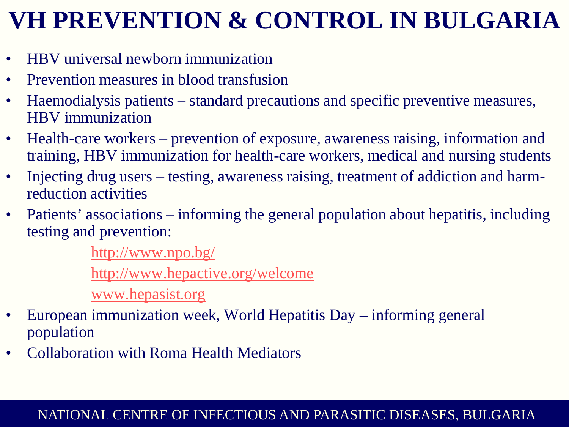# **VH PREVENTION & CONTROL IN BULGARIA**

- HBV universal newborn immunization
- Prevention measures in blood transfusion
- Haemodialysis patients standard precautions and specific preventive measures, HBV immunization
- Health-care workers prevention of exposure, awareness raising, information and training, HBV immunization for health-care workers, medical and nursing students
- Injecting drug users testing, awareness raising, treatment of addiction and harmreduction activities
- Patients' associations informing the general population about hepatitis, including testing and prevention:

<http://www.npo.bg/>

<http://www.hepactive.org/welcome>

[www.hepasist.org](http://www.hepasist.org/)

- European immunization week, World Hepatitis Day informing general population
- Collaboration with Roma Health Mediators